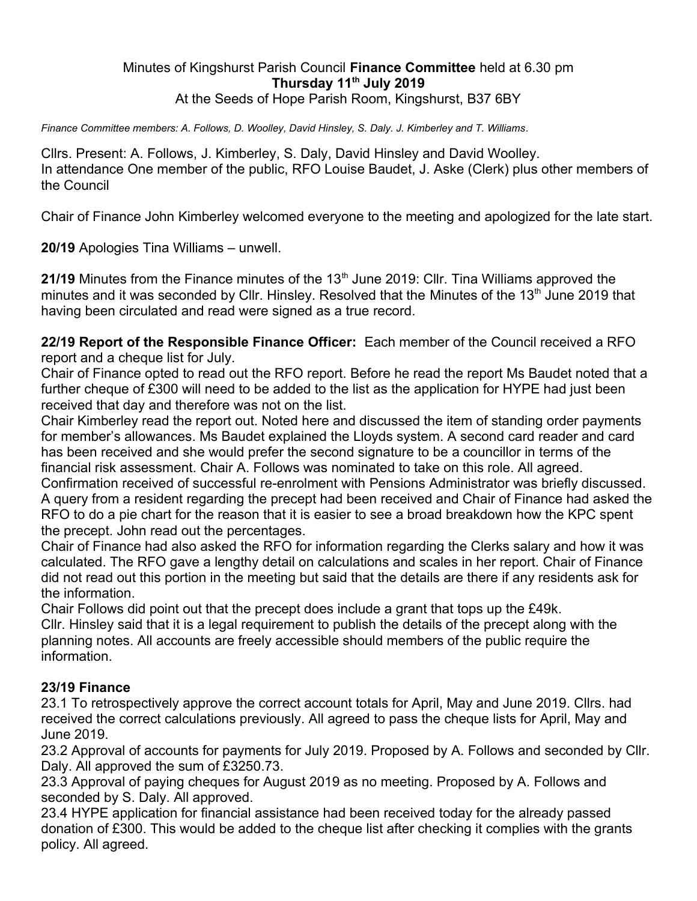## Minutes of Kingshurst Parish Council **Finance Committee** held at 6.30 pm **Thursday 11th July 2019** At the Seeds of Hope Parish Room, Kingshurst, B37 6BY

*Finance Committee members: A. Follows, D. Woolley, David Hinsley, S. Daly. J. Kimberley and T. Williams*.

Cllrs. Present: A. Follows, J. Kimberley, S. Daly, David Hinsley and David Woolley. In attendance One member of the public, RFO Louise Baudet, J. Aske (Clerk) plus other members of the Council

Chair of Finance John Kimberley welcomed everyone to the meeting and apologized for the late start.

**20/19** Apologies Tina Williams – unwell.

**21/19** Minutes from the Finance minutes of the 13<sup>th</sup> June 2019: Cllr. Tina Williams approved the minutes and it was seconded by Cllr. Hinsley. Resolved that the Minutes of the 13<sup>th</sup> June 2019 that having been circulated and read were signed as a true record.

**22/19 Report of the Responsible Finance Officer:** Each member of the Council received a RFO report and a cheque list for July.

Chair of Finance opted to read out the RFO report. Before he read the report Ms Baudet noted that a further cheque of £300 will need to be added to the list as the application for HYPE had just been received that day and therefore was not on the list.

Chair Kimberley read the report out. Noted here and discussed the item of standing order payments for member's allowances. Ms Baudet explained the Lloyds system. A second card reader and card has been received and she would prefer the second signature to be a councillor in terms of the financial risk assessment. Chair A. Follows was nominated to take on this role. All agreed. Confirmation received of successful re-enrolment with Pensions Administrator was briefly discussed.

A query from a resident regarding the precept had been received and Chair of Finance had asked the RFO to do a pie chart for the reason that it is easier to see a broad breakdown how the KPC spent the precept. John read out the percentages.

Chair of Finance had also asked the RFO for information regarding the Clerks salary and how it was calculated. The RFO gave a lengthy detail on calculations and scales in her report. Chair of Finance did not read out this portion in the meeting but said that the details are there if any residents ask for the information.

Chair Follows did point out that the precept does include a grant that tops up the £49k. Cllr. Hinsley said that it is a legal requirement to publish the details of the precept along with the planning notes. All accounts are freely accessible should members of the public require the information.

## **23/19 Finance**

23.1 To retrospectively approve the correct account totals for April, May and June 2019. Cllrs. had received the correct calculations previously. All agreed to pass the cheque lists for April, May and June 2019.

23.2 Approval of accounts for payments for July 2019. Proposed by A. Follows and seconded by Cllr. Daly. All approved the sum of £3250.73.

23.3 Approval of paying cheques for August 2019 as no meeting. Proposed by A. Follows and seconded by S. Daly. All approved.

23.4 HYPE application for financial assistance had been received today for the already passed donation of £300. This would be added to the cheque list after checking it complies with the grants policy. All agreed.